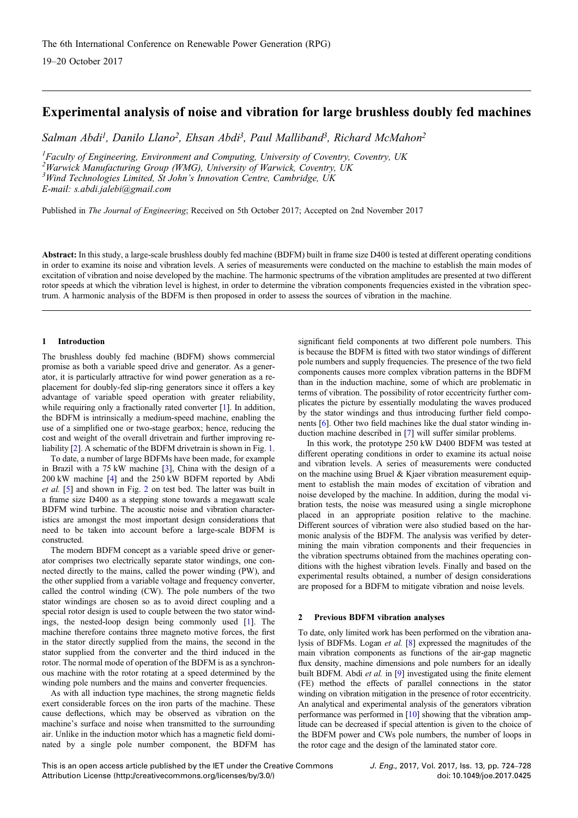# Experimental analysis of noise and vibration for large brushless doubly fed machines

Salman Abdi<sup>1</sup>, [Danilo](mailto:) Llano<sup>2</sup>, [Ehsan](mailto:) Abdi<sup>3</sup>, [Paul](mailto:) Malliband<sup>3</sup>, [Richard](mailto:) McMahon<sup>2</sup>

<sup>1</sup> Faculty of Engineering, Environment and Computing, University of Coventry, Coventry, UK <sup>2</sup> Warwick Manufacturing Group (WMG), University of Warwick, Coventry, UK <sup>3</sup> Wind Technologies Limited, St John's Innovation Centre, Cambridge, UK E-mail: [s.abdi.jalebi@gmail.com](mailto:)

Published in The Journal of Engineering; Received on 5th October 2017; Accepted on 2nd November 2017

Abstract: In this study, a large-scale brushless doubly fed machine (BDFM) built in frame size D400 is tested at different operating conditions in order to examine its noise and vibration levels. A series of measurements were conducted on the machine to establish the main modes of excitation of vibration and noise developed by the machine. The harmonic spectrums of the vibration amplitudes are presented at two different rotor speeds at which the vibration level is highest, in order to determine the vibration components frequencies existed in the vibration spectrum. A harmonic analysis of the BDFM is then proposed in order to assess the sources of vibration in the machine.

# 1 Introduction

The brushless doubly fed machine (BDFM) shows commercial promise as both a variable speed drive and generator. As a generator, it is particularly attractive for wind power generation as a replacement for doubly-fed slip-ring generators since it offers a key advantage of variable speed operation with greater reliability, while requiring only a fractionally rated converter [\[1\]](#page-4-0). In addition, the BDFM is intrinsically a medium-speed machine, enabling the use of a simplified one or two-stage gearbox; hence, reducing the cost and weight of the overall drivetrain and further improving reliability [[2](#page-4-0)]. A schematic of the BDFM drivetrain is shown in Fig. [1](#page-1-0).

To date, a number of large BDFMs have been made, for example in Brazil with a 75 kW machine [[3](#page-4-0)], China with the design of a 200 kW machine [\[4\]](#page-4-0) and the 250 kW BDFM reported by Abdi et al. [[5\]](#page-4-0) and shown in Fig. [2](#page-1-0) on test bed. The latter was built in a frame size D400 as a stepping stone towards a megawatt scale BDFM wind turbine. The acoustic noise and vibration characteristics are amongst the most important design considerations that need to be taken into account before a large-scale BDFM is constructed.

The modern BDFM concept as a variable speed drive or generator comprises two electrically separate stator windings, one connected directly to the mains, called the power winding (PW), and the other supplied from a variable voltage and frequency converter, called the control winding (CW). The pole numbers of the two stator windings are chosen so as to avoid direct coupling and a special rotor design is used to couple between the two stator windings, the nested-loop design being commonly used [[1](#page-4-0)]. The machine therefore contains three magneto motive forces, the first in the stator directly supplied from the mains, the second in the stator supplied from the converter and the third induced in the rotor. The normal mode of operation of the BDFM is as a synchronous machine with the rotor rotating at a speed determined by the winding pole numbers and the mains and converter frequencies.

As with all induction type machines, the strong magnetic fields exert considerable forces on the iron parts of the machine. These cause deflections, which may be observed as vibration on the machine's surface and noise when transmitted to the surrounding air. Unlike in the induction motor which has a magnetic field dominated by a single pole number component, the BDFM has

significant field components at two different pole numbers. This is because the BDFM is fitted with two stator windings of different pole numbers and supply frequencies. The presence of the two field components causes more complex vibration patterns in the BDFM than in the induction machine, some of which are problematic in terms of vibration. The possibility of rotor eccentricity further complicates the picture by essentially modulating the waves produced by the stator windings and thus introducing further field components [[6](#page-4-0)]. Other two field machines like the dual stator winding induction machine described in [\[7\]](#page-4-0) will suffer similar problems.

In this work, the prototype 250 kW D400 BDFM was tested at different operating conditions in order to examine its actual noise and vibration levels. A series of measurements were conducted on the machine using Bruel & Kjaer vibration measurement equipment to establish the main modes of excitation of vibration and noise developed by the machine. In addition, during the modal vibration tests, the noise was measured using a single microphone placed in an appropriate position relative to the machine. Different sources of vibration were also studied based on the harmonic analysis of the BDFM. The analysis was verified by determining the main vibration components and their frequencies in the vibration spectrums obtained from the machines operating conditions with the highest vibration levels. Finally and based on the experimental results obtained, a number of design considerations are proposed for a BDFM to mitigate vibration and noise levels.

## 2 Previous BDFM vibration analyses

To date, only limited work has been performed on the vibration analysis of BDFMs. Logan et al. [[8](#page-4-0)] expressed the magnitudes of the main vibration components as functions of the air-gap magnetic flux density, machine dimensions and pole numbers for an ideally built BDFM. Abdi et al. in [\[9\]](#page-4-0) investigated using the finite element (FE) method the effects of parallel connections in the stator winding on vibration mitigation in the presence of rotor eccentricity. An analytical and experimental analysis of the generators vibration performance was performed in [[10](#page-4-0)] showing that the vibration amplitude can be decreased if special attention is given to the choice of the BDFM power and CWs pole numbers, the number of loops in the rotor cage and the design of the laminated stator core.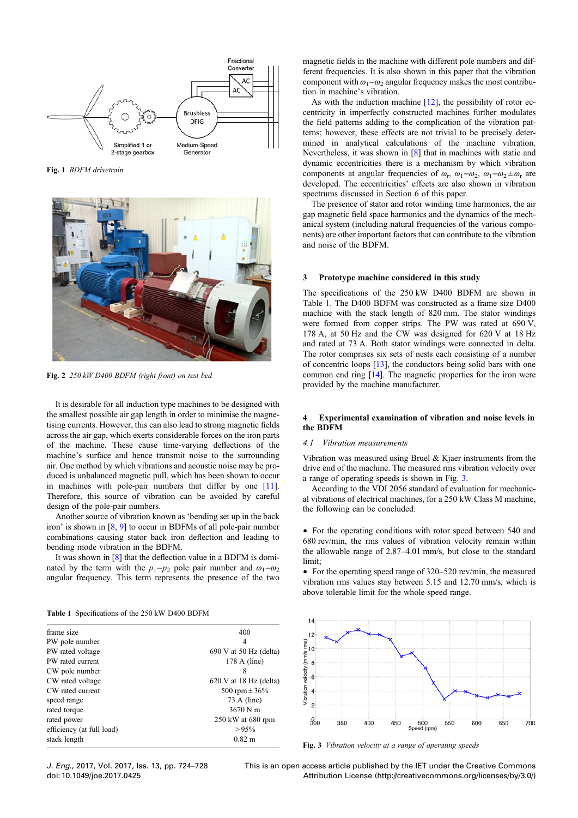<span id="page-1-0"></span>

Fig. 1 BDFM drivetrain



Fig. 2 250 kW D400 BDFM (right front) on test bed

It is desirable for all induction type machines to be designed with the smallest possible air gap length in order to minimise the magnetising currents. However, this can also lead to strong magnetic fields across the air gap, which exerts considerable forces on the iron parts of the machine. These cause time-varying deflections of the machine's surface and hence transmit noise to the surrounding air. One method by which vibrations and acoustic noise may be produced is unbalanced magnetic pull, which has been shown to occur in machines with pole-pair numbers that differ by one [[11\]](#page-4-0). Therefore, this source of vibration can be avoided by careful design of the pole-pair numbers.

Another source of vibration known as 'bending set up in the back iron' is shown in [[8](#page-4-0), [9\]](#page-4-0) to occur in BDFMs of all pole-pair number combinations causing stator back iron deflection and leading to bending mode vibration in the BDFM.

It was shown in [\[8\]](#page-4-0) that the deflection value in a BDFM is dominated by the term with the  $p_1-p_2$  pole pair number and  $\omega_1-\omega_2$ angular frequency. This term represents the presence of the two

#### Table 1 Specifications of the 250 kW D400 BDFM

| frame size                | 400                      |
|---------------------------|--------------------------|
| PW pole number            | 4                        |
| PW rated voltage          | $690$ V at 50 Hz (delta) |
| PW rated current          | $178A$ (line)            |
| CW pole number            | 8                        |
| CW rated voltage          | $620$ V at 18 Hz (delta) |
| CW rated current          | 500 rpm $\pm$ 36%        |
| speed range               | 73 A (line)              |
| rated torque              | 3670 N m                 |
| rated power               | 250 kW at 680 rpm        |
| efficiency (at full load) | >95%                     |
| stack length              | $0.82 \; \mathrm{m}$     |

magnetic fields in the machine with different pole numbers and different frequencies. It is also shown in this paper that the vibration component with  $\omega_1-\omega_2$  angular frequency makes the most contribution in machine's vibration.

As with the induction machine  $[12]$  $[12]$ , the possibility of rotor eccentricity in imperfectly constructed machines further modulates the field patterns adding to the complication of the vibration patterns; however, these effects are not trivial to be precisely determined in analytical calculations of the machine vibration. Nevertheless, it was shown in [\[8\]](#page-4-0) that in machines with static and dynamic eccentricities there is a mechanism by which vibration components at angular frequencies of  $\omega_r$ ,  $\omega_1-\omega_2$ ,  $\omega_1-\omega_2 \pm \omega_r$  are developed. The eccentricities' effects are also shown in vibration spectrums discussed in Section 6 of this paper.

The presence of stator and rotor winding time harmonics, the air gap magnetic field space harmonics and the dynamics of the mechanical system (including natural frequencies of the various components) are other important factors that can contribute to the vibration and noise of the BDFM.

## 3 Prototype machine considered in this study

The specifications of the 250 kW D400 BDFM are shown in Table 1. The D400 BDFM was constructed as a frame size D400 machine with the stack length of 820 mm. The stator windings were formed from copper strips. The PW was rated at 690 V, 178 A, at 50 Hz and the CW was designed for 620 V at 18 Hz and rated at 73 A. Both stator windings were connected in delta. The rotor comprises six sets of nests each consisting of a number of concentric loops [\[13](#page-4-0)], the conductors being solid bars with one common end ring [\[14](#page-4-0)]. The magnetic properties for the iron were provided by the machine manufacturer.

# 4 Experimental examination of vibration and noise levels in the BDFM

# 4.1 Vibration measurements

Vibration was measured using Bruel & Kjaer instruments from the drive end of the machine. The measured rms vibration velocity over a range of operating speeds is shown in Fig. 3.

According to the VDI 2056 standard of evaluation for mechanical vibrations of electrical machines, for a 250 kW Class M machine, the following can be concluded:

• For the operating conditions with rotor speed between 540 and 680 rev/min, the rms values of vibration velocity remain within the allowable range of 2.87–4.01 mm/s, but close to the standard limit;

• For the operating speed range of 320–520 rev/min, the measured vibration rms values stay between 5.15 and 12.70 mm/s, which is above tolerable limit for the whole speed range.



Fig. 3 Vibration velocity at a range of operating speeds

J. Eng., 2017, Vol. 2017, Iss. 13, pp. 724–<sup>728</sup> doi: 10.1049/joe.2017.0425

This is an open access article published by the IET under the Creative Commons Attribution License (http://creativecommons.org/licenses/by/3.0/)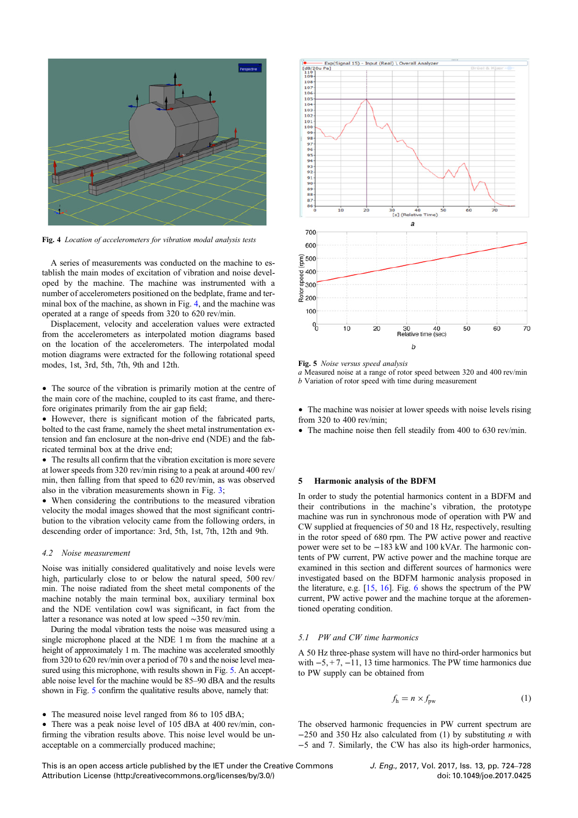

Fig. 4 Location of accelerometers for vibration modal analysis tests

A series of measurements was conducted on the machine to establish the main modes of excitation of vibration and noise developed by the machine. The machine was instrumented with a number of accelerometers positioned on the bedplate, frame and terminal box of the machine, as shown in Fig. 4, and the machine was operated at a range of speeds from 320 to 620 rev/min.

Displacement, velocity and acceleration values were extracted from the accelerometers as interpolated motion diagrams based on the location of the accelerometers. The interpolated modal motion diagrams were extracted for the following rotational speed modes, 1st, 3rd, 5th, 7th, 9th and 12th.

• The source of the vibration is primarily motion at the centre of the main core of the machine, coupled to its cast frame, and therefore originates primarily from the air gap field;

† However, there is significant motion of the fabricated parts, bolted to the cast frame, namely the sheet metal instrumentation extension and fan enclosure at the non-drive end (NDE) and the fabricated terminal box at the drive end;

• The results all confirm that the vibration excitation is more severe at lower speeds from 320 rev/min rising to a peak at around 400 rev/ min, then falling from that speed to 620 rev/min, as was observed also in the vibration measurements shown in Fig. [3](#page-1-0);

• When considering the contributions to the measured vibration velocity the modal images showed that the most significant contribution to the vibration velocity came from the following orders, in descending order of importance: 3rd, 5th, 1st, 7th, 12th and 9th.

## 4.2 Noise measurement

Noise was initially considered qualitatively and noise levels were high, particularly close to or below the natural speed, 500 rev/ min. The noise radiated from the sheet metal components of the machine notably the main terminal box, auxiliary terminal box and the NDE ventilation cowl was significant, in fact from the latter a resonance was noted at low speed ∼350 rev/min.

During the modal vibration tests the noise was measured using a single microphone placed at the NDE 1 m from the machine at a height of approximately 1 m. The machine was accelerated smoothly from 320 to 620 rev/min over a period of 70 s and the noise level measured using this microphone, with results shown in Fig. 5. An acceptable noise level for the machine would be 85–90 dBA and the results shown in Fig. 5 confirm the qualitative results above, namely that:



† There was a peak noise level of 105 dBA at 400 rev/min, confirming the vibration results above. This noise level would be unacceptable on a commercially produced machine;



Fig. 5 Noise versus speed analysis

a Measured noise at a range of rotor speed between 320 and 400 rev/min b Variation of rotor speed with time during measurement

† The machine was noisier at lower speeds with noise levels rising from 320 to 400 rev/min;

• The machine noise then fell steadily from 400 to 630 rev/min.

#### 5 Harmonic analysis of the BDFM

In order to study the potential harmonics content in a BDFM and their contributions in the machine's vibration, the prototype machine was run in synchronous mode of operation with PW and CW supplied at frequencies of 50 and 18 Hz, respectively, resulting in the rotor speed of 680 rpm. The PW active power and reactive power were set to be −183 kW and 100 kVAr. The harmonic contents of PW current, PW active power and the machine torque are examined in this section and different sources of harmonics were investigated based on the BDFM harmonic analysis proposed in the literature, e.g. [\[15](#page-4-0), [16\]](#page-4-0). Fig. [6](#page-3-0) shows the spectrum of the PW current, PW active power and the machine torque at the aforementioned operating condition.

#### 5.1 PW and CW time harmonics

A 50 Hz three-phase system will have no third-order harmonics but with  $-5, +7, -11, 13$  time harmonics. The PW time harmonics due to PW supply can be obtained from

$$
f_{\rm h} = n \times f_{\rm pw} \tag{1}
$$

The observed harmonic frequencies in PW current spectrum are  $-250$  and 350 Hz also calculated from (1) by substituting *n* with −5 and 7. Similarly, the CW has also its high-order harmonics,

This is an open access article published by the IET under the Creative Commons Attribution License (http://creativecommons.org/licenses/by/3.0/)

J. Eng., 2017, Vol. 2017, Iss. 13, pp. 724–<sup>728</sup> doi: 10.1049/joe.2017.0425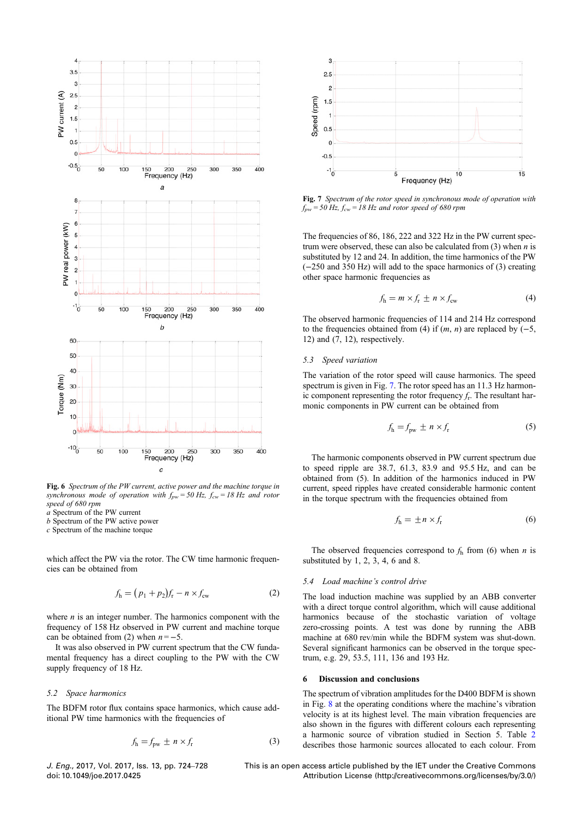<span id="page-3-0"></span>

Fig. 6 Spectrum of the PW current, active power and the machine torque in synchronous mode of operation with  $f_{pw} = 50$  Hz,  $f_{cw} = 18$  Hz and rotor speed of 680 rpm

a Spectrum of the PW current

b Spectrum of the PW active power

c Spectrum of the machine torque

which affect the PW via the rotor. The CW time harmonic frequencies can be obtained from

$$
f_{\rm h} = (p_1 + p_2)f_{\rm r} - n \times f_{\rm cw}
$$
 (2)

where  $n$  is an integer number. The harmonics component with the frequency of 158 Hz observed in PW current and machine torque can be obtained from (2) when  $n = -5$ .

It was also observed in PW current spectrum that the CW fundamental frequency has a direct coupling to the PW with the CW supply frequency of 18 Hz.

#### 5.2 Space harmonics

The BDFM rotor flux contains space harmonics, which cause additional PW time harmonics with the frequencies of

$$
f_{\rm h} = f_{\rm pw} \pm n \times f_{\rm r} \tag{3}
$$

J. Eng., 2017, Vol. 2017, Iss. 13, pp. 724–<sup>728</sup> doi: 10.1049/joe.2017.0425



Fig. 7 Spectrum of the rotor speed in synchronous mode of operation with  $f_{pw} = 50$  Hz,  $f_{cw} = 18$  Hz and rotor speed of 680 rpm

The frequencies of 86, 186, 222 and 322 Hz in the PW current spectrum were observed, these can also be calculated from  $(3)$  when *n* is substituted by 12 and 24. In addition, the time harmonics of the PW (−250 and 350 Hz) will add to the space harmonics of (3) creating other space harmonic frequencies as

$$
f_{\rm h} = m \times f_{\rm r} \pm n \times f_{\rm cw} \tag{4}
$$

The observed harmonic frequencies of 114 and 214 Hz correspond to the frequencies obtained from (4) if  $(m, n)$  are replaced by  $(-5,$ 12) and (7, 12), respectively.

#### 5.3 Speed variation

The variation of the rotor speed will cause harmonics. The speed spectrum is given in Fig. 7. The rotor speed has an 11.3 Hz harmonic component representing the rotor frequency  $f_r$ . The resultant harmonic components in PW current can be obtained from

$$
f_{\rm h} = f_{\rm pw} \pm n \times f_{\rm r} \tag{5}
$$

The harmonic components observed in PW current spectrum due to speed ripple are 38.7, 61.3, 83.9 and 95.5 Hz, and can be obtained from (5). In addition of the harmonics induced in PW current, speed ripples have created considerable harmonic content in the torque spectrum with the frequencies obtained from

$$
f_{\rm h} = \pm n \times f_{\rm r} \tag{6}
$$

The observed frequencies correspond to  $f<sub>h</sub>$  from (6) when *n* is substituted by 1, 2, 3, 4, 6 and 8.

# 5.4 Load machine's control drive

The load induction machine was supplied by an ABB converter with a direct torque control algorithm, which will cause additional harmonics because of the stochastic variation of voltage zero-crossing points. A test was done by running the ABB machine at 680 rev/min while the BDFM system was shut-down. Several significant harmonics can be observed in the torque spectrum, e.g. 29, 53.5, 111, 136 and 193 Hz.

### 6 Discussion and conclusions

The spectrum of vibration amplitudes for the D400 BDFM is shown in Fig. [8](#page-4-0) at the operating conditions where the machine's vibration velocity is at its highest level. The main vibration frequencies are also shown in the figures with different colours each representing a harmonic source of vibration studied in Section 5. Table [2](#page-4-0) describes those harmonic sources allocated to each colour. From

This is an open access article published by the IET under the Creative Commons Attribution License (http://creativecommons.org/licenses/by/3.0/)